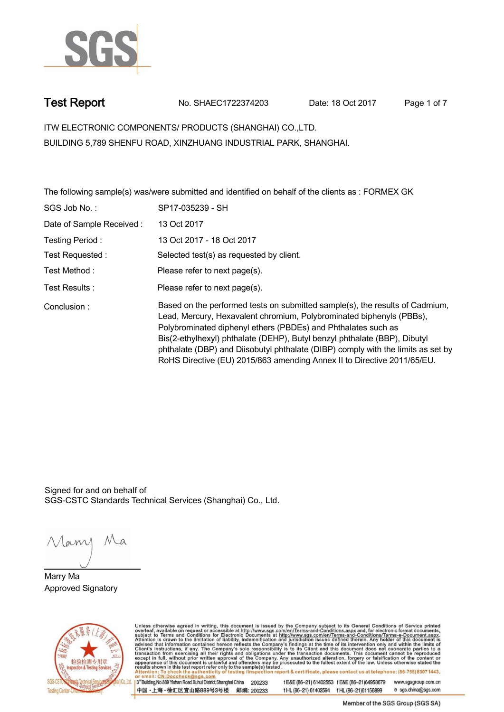

**Test Report. No. SHAEC1722374203 Date: 18 Oct 2017. Page 1 of 7.**

**ITW ELECTRONIC COMPONENTS/ PRODUCTS (SHANGHAI) CO.,LTD. . BUILDING 5,789 SHENFU ROAD, XINZHUANG INDUSTRIAL PARK, SHANGHAI.**

**The following sample(s) was/were submitted and identified on behalf of the clients as : FORMEX GK .**

| SGS Job No.:             | SP17-035239 - SH                                                                                                                                                                                                                                                                                                                                                                                                                                                  |
|--------------------------|-------------------------------------------------------------------------------------------------------------------------------------------------------------------------------------------------------------------------------------------------------------------------------------------------------------------------------------------------------------------------------------------------------------------------------------------------------------------|
| Date of Sample Received: | 13 Oct 2017                                                                                                                                                                                                                                                                                                                                                                                                                                                       |
| Testing Period:          | 13 Oct 2017 - 18 Oct 2017                                                                                                                                                                                                                                                                                                                                                                                                                                         |
| Test Requested:          | Selected test(s) as requested by client.                                                                                                                                                                                                                                                                                                                                                                                                                          |
| Test Method:             | Please refer to next page(s).                                                                                                                                                                                                                                                                                                                                                                                                                                     |
| Test Results:            | Please refer to next page(s).                                                                                                                                                                                                                                                                                                                                                                                                                                     |
| Conclusion:              | Based on the performed tests on submitted sample(s), the results of Cadmium,<br>Lead, Mercury, Hexavalent chromium, Polybrominated biphenyls (PBBs),<br>Polybrominated diphenyl ethers (PBDEs) and Phthalates such as<br>Bis(2-ethylhexyl) phthalate (DEHP), Butyl benzyl phthalate (BBP), Dibutyl<br>phthalate (DBP) and Diisobutyl phthalate (DIBP) comply with the limits as set by<br>RoHS Directive (EU) 2015/863 amending Annex II to Directive 2011/65/EU. |

Signed for and on behalf of SGS-CSTC Standards Technical Services (Shanghai) Co., Ltd..

Many Ma

**Marry Ma. Approved Signatory .**



Unless otherwise agreed in writing, this document is issued by the Company subject to its General Conditions of Service printed overleaf, available on request or accessible at http://www.sgs.com/en/Terms-and-Conditions.asp

3<sup>rd</sup>Building, No.889 Yishan Road Xuhui District, Shanghai China 200233 中国·上海·徐汇区宜山路889号3号楼 邮编: 200233

tE&E (86-21) 61402553 fE&E (86-21)64953679 www.sgsgroup.com.cn tHL (86-21) 61402594 fHL (86-21) 61156899 e sgs.china@sgs.com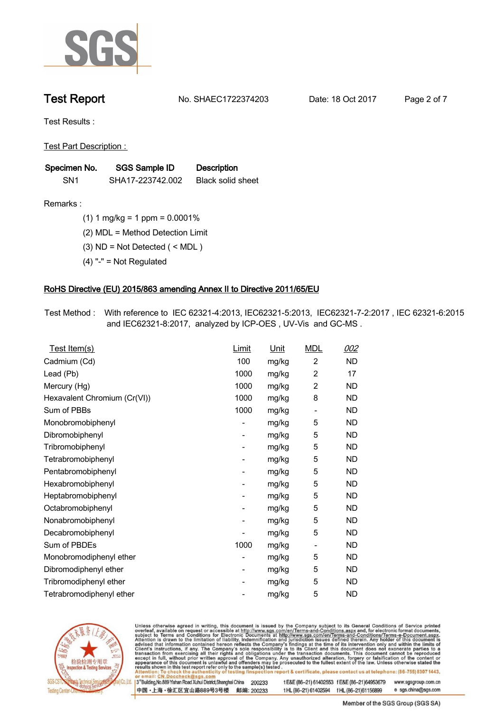

**Test Report. No. SHAEC1722374203 Date: 18 Oct 2017. Page 2 of 7.**

**Test Results :.**

**Test Part Description : .**

| Specimen No.    | SGS Sample ID    | <b>Description</b> |  |
|-----------------|------------------|--------------------|--|
| SN <sub>1</sub> | SHA17-223742.002 | Black solid sheet  |  |

- **Remarks :.(1) 1 mg/kg = 1 ppm = 0.0001% .**
	- **(2) MDL = Method Detection Limit .**
	- **(3) ND = Not Detected ( < MDL ) .**
	- **(4) "-" = Not Regulated .**

### **RoHS Directive (EU) 2015/863 amending Annex II to Directive 2011/65/EU.**

**Test Method :. With reference to IEC 62321-4:2013, IEC62321-5:2013, IEC62321-7-2:2017 , IEC 62321-6:2015 and IEC62321-8:2017, analyzed by ICP-OES , UV-Vis and GC-MS . .**

| <u>Test Item(s)</u>          | <u>Limit</u>             | <u>Unit</u> | <b>MDL</b>               | 002       |
|------------------------------|--------------------------|-------------|--------------------------|-----------|
| Cadmium (Cd)                 | 100                      | mg/kg       | $\overline{c}$           | <b>ND</b> |
| Lead (Pb)                    | 1000                     | mg/kg       | 2                        | 17        |
| Mercury (Hg)                 | 1000                     | mg/kg       | 2                        | <b>ND</b> |
| Hexavalent Chromium (Cr(VI)) | 1000                     | mg/kg       | 8                        | ND        |
| Sum of PBBs                  | 1000                     | mg/kg       | $\overline{\phantom{a}}$ | <b>ND</b> |
| Monobromobiphenyl            | -                        | mg/kg       | 5                        | <b>ND</b> |
| Dibromobiphenyl              | $\overline{\phantom{0}}$ | mg/kg       | 5                        | <b>ND</b> |
| Tribromobiphenyl             | $\overline{\phantom{0}}$ | mg/kg       | 5                        | <b>ND</b> |
| Tetrabromobiphenyl           | -                        | mg/kg       | 5                        | ND        |
| Pentabromobiphenyl           | $\overline{\phantom{0}}$ | mg/kg       | 5                        | ND        |
| Hexabromobiphenyl            | -                        | mg/kg       | 5                        | ND        |
| Heptabromobiphenyl           | $\overline{\phantom{a}}$ | mg/kg       | 5                        | <b>ND</b> |
| Octabromobiphenyl            | -                        | mg/kg       | 5                        | <b>ND</b> |
| Nonabromobiphenyl            | -                        | mg/kg       | 5                        | ND        |
| Decabromobiphenyl            | $\overline{a}$           | mg/kg       | 5                        | <b>ND</b> |
| Sum of PBDEs                 | 1000                     | mg/kg       | $\overline{\phantom{a}}$ | <b>ND</b> |
| Monobromodiphenyl ether      | -                        | mg/kg       | 5                        | ND        |
| Dibromodiphenyl ether        | ۰                        | mg/kg       | 5                        | <b>ND</b> |
| Tribromodiphenyl ether       | -                        | mg/kg       | 5                        | ND        |
| Tetrabromodiphenyl ether     |                          | mg/kg       | 5                        | <b>ND</b> |



Unless otherwise agreed in writing, this document is issued by the Company subject to its General Conditions of Service printed overleaf, available on request or accessible at http://www.sgs.com/en/Terms-and-Conditions.asp

3<sup>rd</sup>Building, No.889 Yishan Road Xuhui District, Shanghai China 200233 中国·上海·徐汇区宜山路889号3号楼 邮编: 200233 t E&E (86-21) 61402553 f E&E (86-21)64953679 www.sgsgroup.com.cn

t HL (86-21) 61402594 f HL (86-21) 61156899 e sgs.china@sgs.com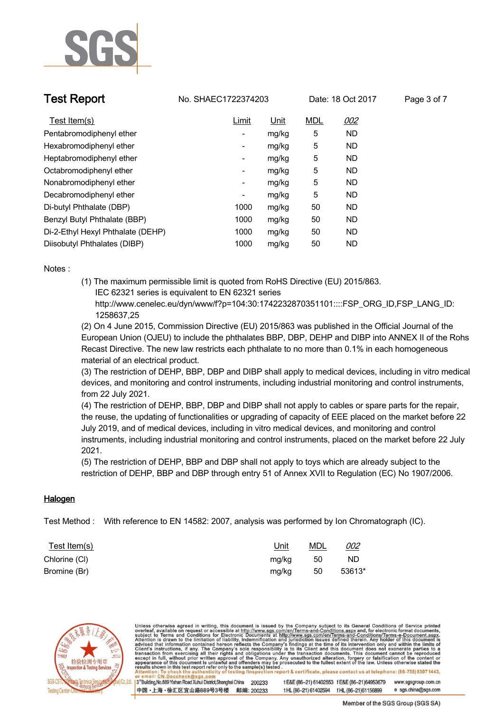

**Test Report No. SHAEC1722374203** Date: 18 Oct 2017 Page 3 of 7

| Test Item(s)                      | Limit | Unit  | <b>MDL</b> | 002       |
|-----------------------------------|-------|-------|------------|-----------|
| Pentabromodiphenyl ether          | -     | mg/kg | 5          | <b>ND</b> |
| Hexabromodiphenyl ether           | -     | mg/kg | 5          | <b>ND</b> |
| Heptabromodiphenyl ether          | ۰     | mg/kg | 5          | <b>ND</b> |
| Octabromodiphenyl ether           | ٠     | mg/kg | 5          | <b>ND</b> |
| Nonabromodiphenyl ether           | -     | mg/kg | 5          | <b>ND</b> |
| Decabromodiphenyl ether           | ٠     | mg/kg | 5          | <b>ND</b> |
| Di-butyl Phthalate (DBP)          | 1000  | mg/kg | 50         | <b>ND</b> |
| Benzyl Butyl Phthalate (BBP)      | 1000  | mg/kg | 50         | <b>ND</b> |
| Di-2-Ethyl Hexyl Phthalate (DEHP) | 1000  | mg/kg | 50         | <b>ND</b> |
| Diisobutyl Phthalates (DIBP)      | 1000  | mg/kg | 50         | <b>ND</b> |

**Notes :.**

**(1) The maximum permissible limit is quoted from RoHS Directive (EU) 2015/863. IEC 62321 series is equivalent to EN 62321 series**

 **http://www.cenelec.eu/dyn/www/f?p=104:30:1742232870351101::::FSP\_ORG\_ID,FSP\_LANG\_ID: 1258637,25**

**(2) On 4 June 2015, Commission Directive (EU) 2015/863 was published in the Official Journal of the European Union (OJEU) to include the phthalates BBP, DBP, DEHP and DIBP into ANNEX II of the Rohs Recast Directive. The new law restricts each phthalate to no more than 0.1% in each homogeneous material of an electrical product.** 

**(3) The restriction of DEHP, BBP, DBP and DIBP shall apply to medical devices, including in vitro medical devices, and monitoring and control instruments, including industrial monitoring and control instruments, from 22 July 2021.**

**(4) The restriction of DEHP, BBP, DBP and DIBP shall not apply to cables or spare parts for the repair, the reuse, the updating of functionalities or upgrading of capacity of EEE placed on the market before 22 July 2019, and of medical devices, including in vitro medical devices, and monitoring and control instruments, including industrial monitoring and control instruments, placed on the market before 22 July 2021.** 

**(5) The restriction of DEHP, BBP and DBP shall not apply to toys which are already subject to the restriction of DEHP, BBP and DBP through entry 51 of Annex XVII to Regulation (EC) No 1907/2006. .**

### **Halogen.**

**Test Method :. With reference to EN 14582: 2007, analysis was performed by Ion Chromatograph (IC). .**

| <u>Test Item(s)</u> | <u>Unit</u> | <b>MDL</b> | <u>002</u> |
|---------------------|-------------|------------|------------|
| Chlorine (CI)       | mg/kg       | - 50       | <b>ND</b>  |
| Bromine (Br)        | mg/kg       | - 50       | 53613*     |



Unless otherwise agreed in writing, this document is issued by the Company subject to its General Conditions of Service printed<br>overleaf, available on request or accessible at http://www.sgs.com/en/Terms-and-Conditions.asp report & certificate, please contact us at telephone: (86-755) 8307 1443, 3<sup>rd</sup> Building, No.889 Yishan Road Xuhui District, Shanghai China t E&E (86-21) 61402553 f E&E (86-21)64953679 www.sgsgroup.com.cn 200233 中国·上海·徐汇区宜山路889号3号楼 邮编: 200233 e sgs.china@sgs.com tHL (86-21) 61402594 fHL (86-21) 61156899

Member of the SGS Group (SGS SA)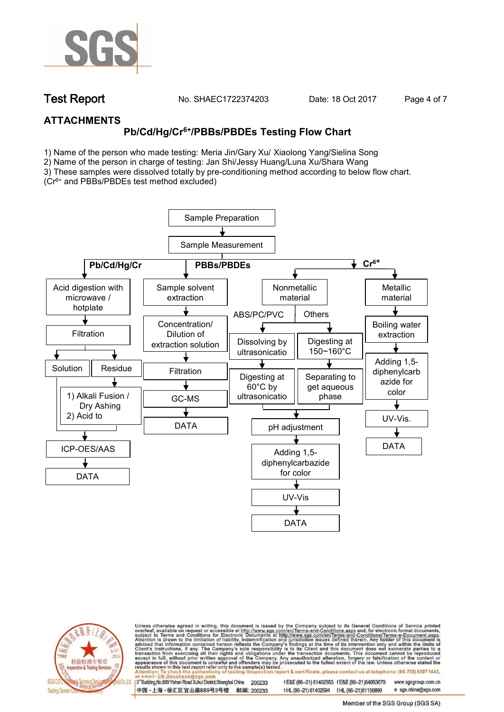

**Test Report. No. SHAEC1722374203 Date: 18 Oct 2017. Page 4 of 7.**

### **ATTACHMENTS**

## **Pb/Cd/Hg/Cr6+/PBBs/PBDEs Testing Flow Chart**

1) Name of the person who made testing: Meria Jin/Gary Xu/ Xiaolong Yang/Sielina Song

2) Name of the person in charge of testing: Jan Shi/Jessy Huang/Luna Xu/Shara Wang

3) These samples were dissolved totally by pre-conditioning method according to below flow chart. (Cr6+ and PBBs/PBDEs test method excluded)





Unless otherwise agreed in writing, this document is issued by the Company subject to its General Conditions of Service printed overleaf, available on request or accessible at http://www.sgs.com/en/Terms-and-Conditions.asp ion report & certificate, please contact us at telephone: (86-755) 8307 1443, esting/ins

13<sup>rd</sup> Building, No.889 Yishan Road Xuhui District, Shanghai China 200233 中国·上海·徐汇区宜山路889号3号楼 邮编: 200233 tE&E (86-21) 61402553 fE&E (86-21)64953679 www.sgsgroup.com.cn

t HL (86-21) 61402594 f HL (86-21)61156899 e sgs.china@sgs.com Member of the SGS Group (SGS SA)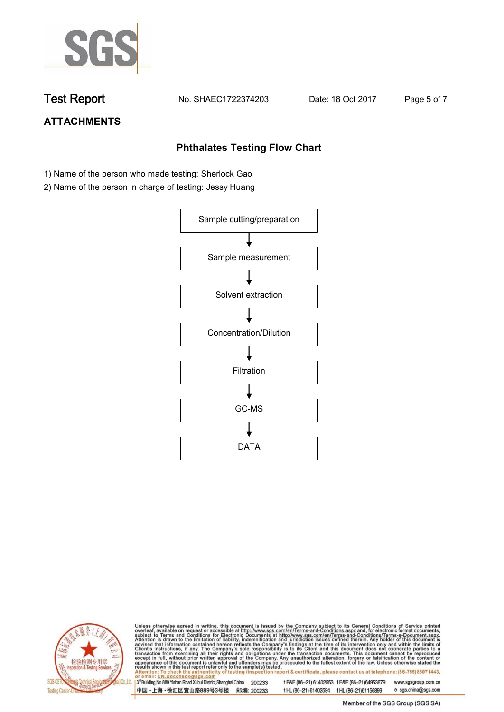

**Test Report. No. SHAEC1722374203 Date: 18 Oct 2017. Page 5 of 7.**

# **ATTACHMENTS**

### **Phthalates Testing Flow Chart**

- 1) Name of the person who made testing: Sherlock Gao
- 2) Name of the person in charge of testing: Jessy Huang





Unless otherwise agreed in writing, this document is issued by the Company subject to its General Conditions of Service printed overleaf, available on request or accessible at http://www.sgs.com/en/Terms-and-Conditions.asp

3<sup>rd</sup>Building, No.889 Yishan Road Xuhui District, Shanghai China 200233 中国·上海·徐汇区宜山路889号3号楼 邮编: 200233 t E&E (86-21) 61402553 f E&E (86-21)64953679 www.sgsgroup.com.cn t HL (86-21) 61402594 f HL (86-21) 61156899 e sgs.china@sgs.com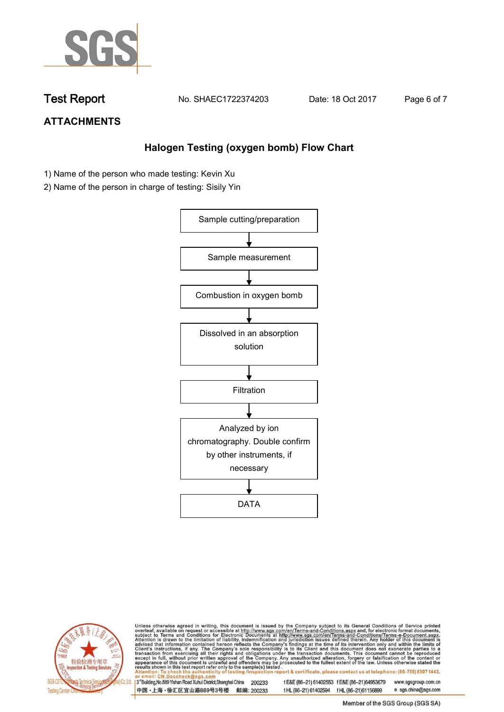

**Test Report. No. SHAEC1722374203 Date: 18 Oct 2017. Page 6 of 7.**

## **ATTACHMENTS**

### **Halogen Testing (oxygen bomb) Flow Chart**

- 1) Name of the person who made testing: Kevin Xu
- 2) Name of the person in charge of testing: Sisily Yin





Unless otherwise agreed in writing, this document is issued by the Company subject to its General Conditions of Service printed<br>overleaf, available on request or accessible at http://www.sgs.com/en/Terms-and-Conditions.asp

3<sup>rd</sup>Building, No.889 Yishan Road Xuhui District, Shanghai China 200233 中国·上海·徐汇区宜山路889号3号楼 邮编: 200233 t E&E (86-21) 61402553 f E&E (86-21)64953679 www.sgsgroup.com.cn t HL (86-21) 61402594 f HL (86-21) 61156899 e sgs.china@sgs.com